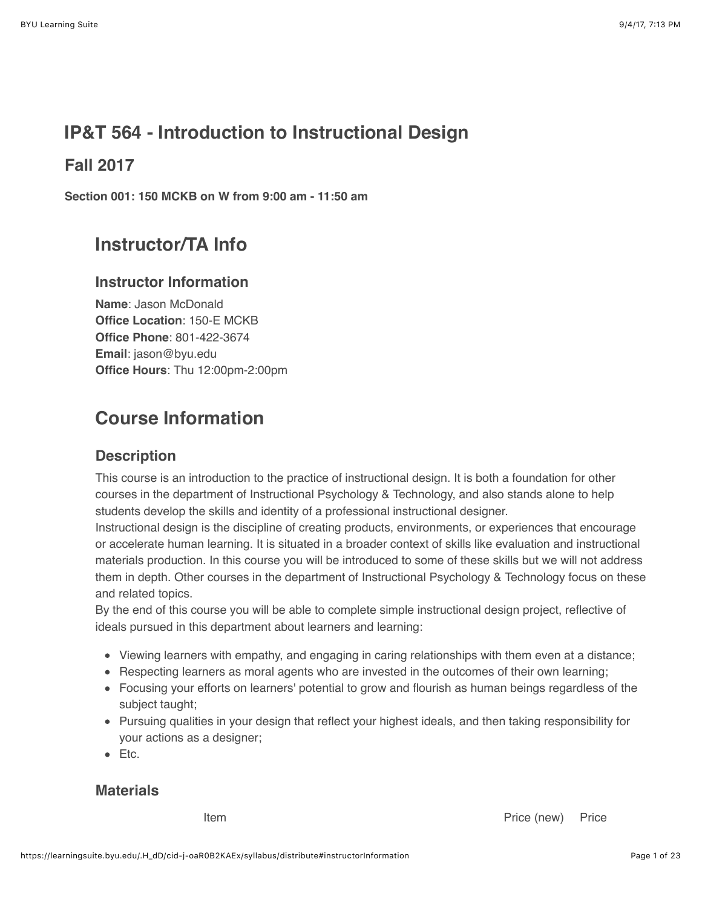# **IP&T 564 - Introduction to Instructional Design**

# **Fall 2017**

**Section 001: 150 MCKB on W from 9:00 am - 11:50 am**

# **Instructor/TA Info**

## **Instructor Information**

**Name**: Jason McDonald **Office Location**: 150-E MCKB **Office Phone**: 801-422-3674 **Email**: jason@byu.edu **Office Hours**: Thu 12:00pm-2:00pm

# **Course Information**

## **Description**

This course is an introduction to the practice of instructional design. It is both a foundation for other courses in the department of Instructional Psychology & Technology, and also stands alone to help students develop the skills and identity of a professional instructional designer.

Instructional design is the discipline of creating products, environments, or experiences that encourage or accelerate human learning. It is situated in a broader context of skills like evaluation and instructional materials production. In this course you will be introduced to some of these skills but we will not address them in depth. Other courses in the department of Instructional Psychology & Technology focus on these and related topics.

By the end of this course you will be able to complete simple instructional design project, reflective of ideals pursued in this department about learners and learning:

- Viewing learners with empathy, and engaging in caring relationships with them even at a distance;
- Respecting learners as moral agents who are invested in the outcomes of their own learning;
- Focusing your efforts on learners' potential to grow and flourish as human beings regardless of the subject taught;
- Pursuing qualities in your design that reflect your highest ideals, and then taking responsibility for your actions as a designer;
- Etc.

## **Materials**

**Item Price (new)** Price (new) Price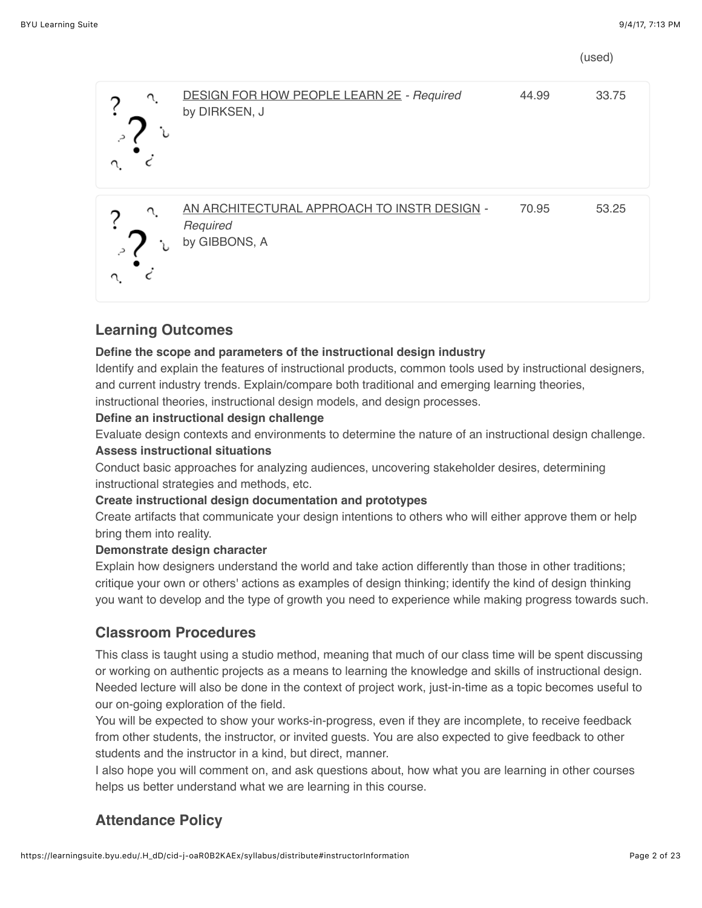(used)

| <b>DESIGN FOR HOW PEOPLE LEARN 2E - Required</b><br>by DIRKSEN, J        | 44.99 | 33.75 |
|--------------------------------------------------------------------------|-------|-------|
| AN ARCHITECTURAL APPROACH TO INSTRIDESIGN -<br>Required<br>by GIBBONS, A | 70.95 | 53.25 |

# **Learning Outcomes**

#### **Define the scope and parameters of the instructional design industry**

Identify and explain the features of instructional products, common tools used by instructional designers, and current industry trends. Explain/compare both traditional and emerging learning theories, instructional theories, instructional design models, and design processes.

#### **Define an instructional design challenge**

Evaluate design contexts and environments to determine the nature of an instructional design challenge. **Assess instructional situations**

Conduct basic approaches for analyzing audiences, uncovering stakeholder desires, determining instructional strategies and methods, etc.

#### **Create instructional design documentation and prototypes**

Create artifacts that communicate your design intentions to others who will either approve them or help bring them into reality.

#### **Demonstrate design character**

Explain how designers understand the world and take action differently than those in other traditions; critique your own or others' actions as examples of design thinking; identify the kind of design thinking you want to develop and the type of growth you need to experience while making progress towards such.

## **Classroom Procedures**

This class is taught using a studio method, meaning that much of our class time will be spent discussing or working on authentic projects as a means to learning the knowledge and skills of instructional design. Needed lecture will also be done in the context of project work, just-in-time as a topic becomes useful to our on-going exploration of the field.

You will be expected to show your works-in-progress, even if they are incomplete, to receive feedback from other students, the instructor, or invited guests. You are also expected to give feedback to other students and the instructor in a kind, but direct, manner.

I also hope you will comment on, and ask questions about, how what you are learning in other courses helps us better understand what we are learning in this course.

# **Attendance Policy**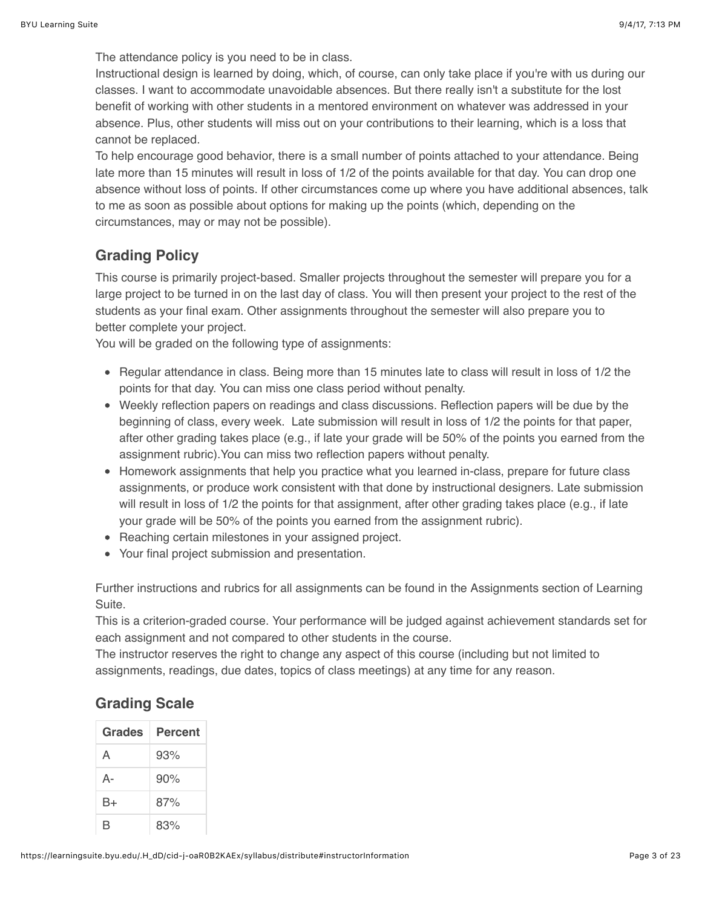The attendance policy is you need to be in class.

Instructional design is learned by doing, which, of course, can only take place if you're with us during our classes. I want to accommodate unavoidable absences. But there really isn't a substitute for the lost benefit of working with other students in a mentored environment on whatever was addressed in your absence. Plus, other students will miss out on your contributions to their learning, which is a loss that cannot be replaced.

To help encourage good behavior, there is a small number of points attached to your attendance. Being late more than 15 minutes will result in loss of 1/2 of the points available for that day. You can drop one absence without loss of points. If other circumstances come up where you have additional absences, talk to me as soon as possible about options for making up the points (which, depending on the circumstances, may or may not be possible).

## **Grading Policy**

This course is primarily project-based. Smaller projects throughout the semester will prepare you for a large project to be turned in on the last day of class. You will then present your project to the rest of the students as your final exam. Other assignments throughout the semester will also prepare you to better complete your project.

You will be graded on the following type of assignments:

- Regular attendance in class. Being more than 15 minutes late to class will result in loss of 1/2 the points for that day. You can miss one class period without penalty.
- Weekly reflection papers on readings and class discussions. Reflection papers will be due by the beginning of class, every week. Late submission will result in loss of 1/2 the points for that paper, after other grading takes place (e.g., if late your grade will be 50% of the points you earned from the assignment rubric).You can miss two reflection papers without penalty.
- Homework assignments that help you practice what you learned in-class, prepare for future class assignments, or produce work consistent with that done by instructional designers. Late submission will result in loss of 1/2 the points for that assignment, after other grading takes place (e.g., if late your grade will be 50% of the points you earned from the assignment rubric).
- Reaching certain milestones in your assigned project.
- Your final project submission and presentation.

Further instructions and rubrics for all assignments can be found in the Assignments section of Learning Suite.

This is a criterion-graded course. Your performance will be judged against achievement standards set for each assignment and not compared to other students in the course.

The instructor reserves the right to change any aspect of this course (including but not limited to assignments, readings, due dates, topics of class meetings) at any time for any reason.

# **Grading Scale**

| Grades | Percent |  |
|--------|---------|--|
| A      | 93%     |  |
| А-     | 90%     |  |
| B+     | 87%     |  |
| R      | 83%     |  |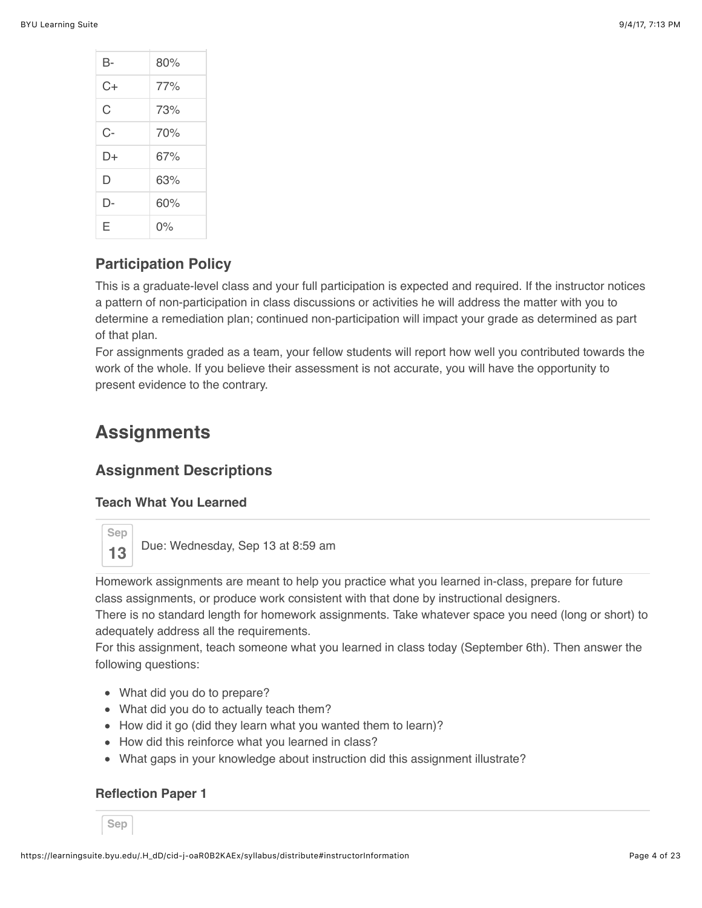| В- | 80%   |  |
|----|-------|--|
| C+ | 77%   |  |
| C  | 73%   |  |
| C- | 70%   |  |
| D+ | 67%   |  |
| D  | 63%   |  |
| D- | 60%   |  |
| F  | $0\%$ |  |

## **Participation Policy**

This is a graduate-level class and your full participation is expected and required. If the instructor notices a pattern of non-participation in class discussions or activities he will address the matter with you to determine a remediation plan; continued non-participation will impact your grade as determined as part of that plan.

For assignments graded as a team, your fellow students will report how well you contributed towards the work of the whole. If you believe their assessment is not accurate, you will have the opportunity to present evidence to the contrary.

# **Assignments**

## **Assignment Descriptions**

#### **Teach What You Learned**



**13** Due: Wednesday, Sep 13 at 8:59 am

Homework assignments are meant to help you practice what you learned in-class, prepare for future class assignments, or produce work consistent with that done by instructional designers.

There is no standard length for homework assignments. Take whatever space you need (long or short) to adequately address all the requirements.

For this assignment, teach someone what you learned in class today (September 6th). Then answer the following questions:

- What did you do to prepare?
- What did you do to actually teach them?
- How did it go (did they learn what you wanted them to learn)?
- How did this reinforce what you learned in class?
- What gaps in your knowledge about instruction did this assignment illustrate?

#### **Reflection Paper 1**

**Sep**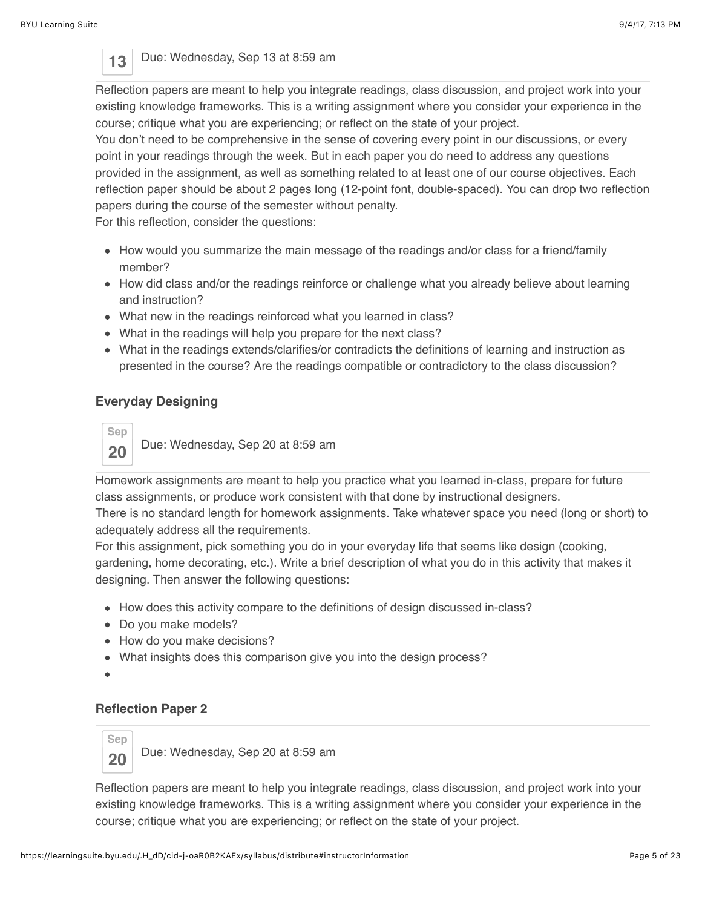## 13 Due: Wednesday, Sep 13 at 8:59 am

Reflection papers are meant to help you integrate readings, class discussion, and project work into your existing knowledge frameworks. This is a writing assignment where you consider your experience in the course; critique what you are experiencing; or reflect on the state of your project.

You don't need to be comprehensive in the sense of covering every point in our discussions, or every point in your readings through the week. But in each paper you do need to address any questions provided in the assignment, as well as something related to at least one of our course objectives. Each reflection paper should be about 2 pages long (12-point font, double-spaced). You can drop two reflection papers during the course of the semester without penalty.

For this reflection, consider the questions:

- How would you summarize the main message of the readings and/or class for a friend/family member?
- How did class and/or the readings reinforce or challenge what you already believe about learning and instruction?
- What new in the readings reinforced what you learned in class?
- What in the readings will help you prepare for the next class?
- What in the readings extends/clarifies/or contradicts the definitions of learning and instruction as presented in the course? Are the readings compatible or contradictory to the class discussion?

### **Everyday Designing**

**Sep 20** Due: Wednesday, Sep 20 at 8:59 am

Homework assignments are meant to help you practice what you learned in-class, prepare for future class assignments, or produce work consistent with that done by instructional designers. There is no standard length for homework assignments. Take whatever space you need (long or short) to

adequately address all the requirements.

For this assignment, pick something you do in your everyday life that seems like design (cooking, gardening, home decorating, etc.). Write a brief description of what you do in this activity that makes it designing. Then answer the following questions:

- How does this activity compare to the definitions of design discussed in-class?
- Do you make models?
- How do you make decisions?
- What insights does this comparison give you into the design process?

#### **Reflection Paper 2**



**20** Due: Wednesday, Sep 20 at 8:59 am

Reflection papers are meant to help you integrate readings, class discussion, and project work into your existing knowledge frameworks. This is a writing assignment where you consider your experience in the course; critique what you are experiencing; or reflect on the state of your project.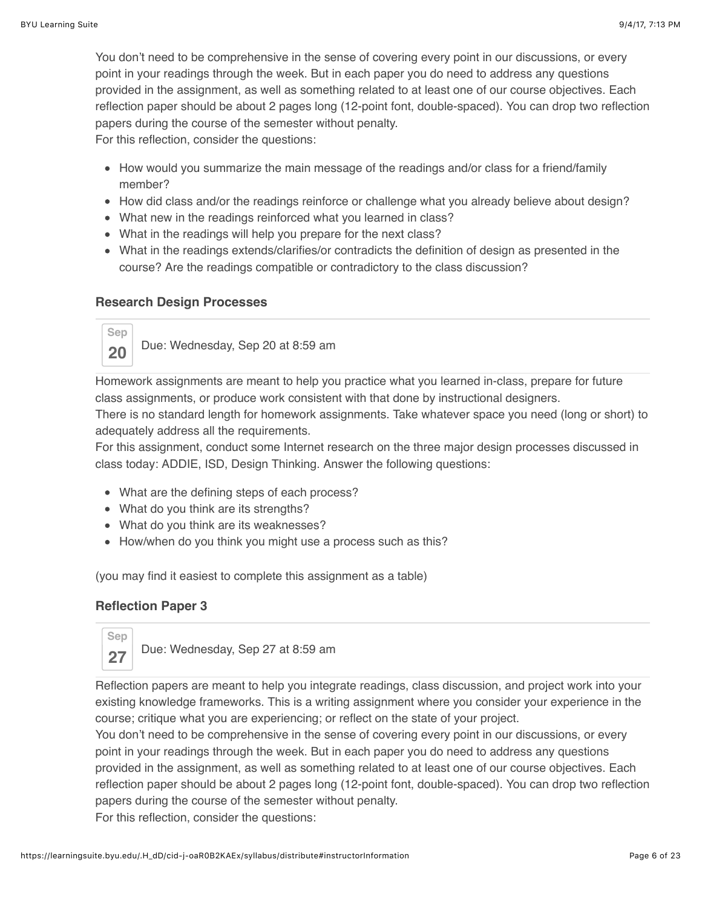You don't need to be comprehensive in the sense of covering every point in our discussions, or every point in your readings through the week. But in each paper you do need to address any questions provided in the assignment, as well as something related to at least one of our course objectives. Each reflection paper should be about 2 pages long (12-point font, double-spaced). You can drop two reflection papers during the course of the semester without penalty.

For this reflection, consider the questions:

- How would you summarize the main message of the readings and/or class for a friend/family member?
- How did class and/or the readings reinforce or challenge what you already believe about design?
- What new in the readings reinforced what you learned in class?
- What in the readings will help you prepare for the next class?
- What in the readings extends/clarifies/or contradicts the definition of design as presented in the course? Are the readings compatible or contradictory to the class discussion?

#### **Research Design Processes**



Homework assignments are meant to help you practice what you learned in-class, prepare for future class assignments, or produce work consistent with that done by instructional designers.

There is no standard length for homework assignments. Take whatever space you need (long or short) to adequately address all the requirements.

For this assignment, conduct some Internet research on the three major design processes discussed in class today: ADDIE, ISD, Design Thinking. Answer the following questions:

- What are the defining steps of each process?
- What do you think are its strengths?
- What do you think are its weaknesses?
- How/when do you think you might use a process such as this?

(you may find it easiest to complete this assignment as a table)

#### **Reflection Paper 3**



Reflection papers are meant to help you integrate readings, class discussion, and project work into your existing knowledge frameworks. This is a writing assignment where you consider your experience in the course; critique what you are experiencing; or reflect on the state of your project.

You don't need to be comprehensive in the sense of covering every point in our discussions, or every point in your readings through the week. But in each paper you do need to address any questions provided in the assignment, as well as something related to at least one of our course objectives. Each reflection paper should be about 2 pages long (12-point font, double-spaced). You can drop two reflection papers during the course of the semester without penalty. For this reflection, consider the questions: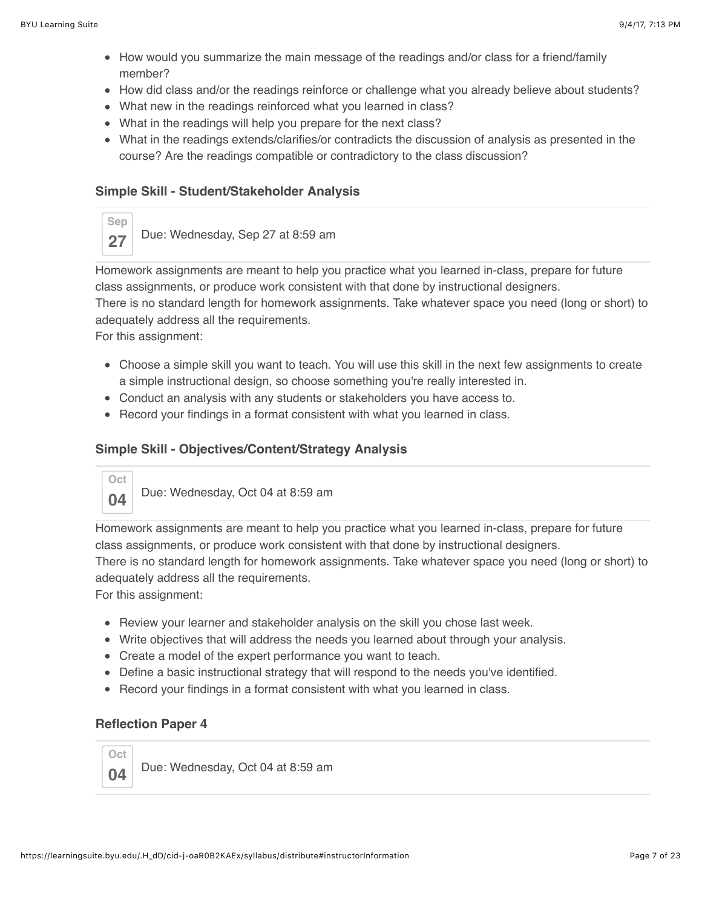- How would you summarize the main message of the readings and/or class for a friend/family member?
- How did class and/or the readings reinforce or challenge what you already believe about students?
- What new in the readings reinforced what you learned in class?
- What in the readings will help you prepare for the next class?
- What in the readings extends/clarifies/or contradicts the discussion of analysis as presented in the course? Are the readings compatible or contradictory to the class discussion?

### **Simple Skill - Student/Stakeholder Analysis**



Homework assignments are meant to help you practice what you learned in-class, prepare for future class assignments, or produce work consistent with that done by instructional designers. There is no standard length for homework assignments. Take whatever space you need (long or short) to adequately address all the requirements. For this assignment:

- Choose a simple skill you want to teach. You will use this skill in the next few assignments to create a simple instructional design, so choose something you're really interested in.
- Conduct an analysis with any students or stakeholders you have access to.
- Record your findings in a format consistent with what you learned in class.

### **Simple Skill - Objectives/Content/Strategy Analysis**



Homework assignments are meant to help you practice what you learned in-class, prepare for future class assignments, or produce work consistent with that done by instructional designers. There is no standard length for homework assignments. Take whatever space you need (long or short) to adequately address all the requirements.

For this assignment:

- Review your learner and stakeholder analysis on the skill you chose last week.
- Write objectives that will address the needs you learned about through your analysis.
- Create a model of the expert performance you want to teach.
- Define a basic instructional strategy that will respond to the needs you've identified.
- Record your findings in a format consistent with what you learned in class.

#### **Reflection Paper 4**

**Oct**

**04** Due: Wednesday, Oct 04 at 8:59 am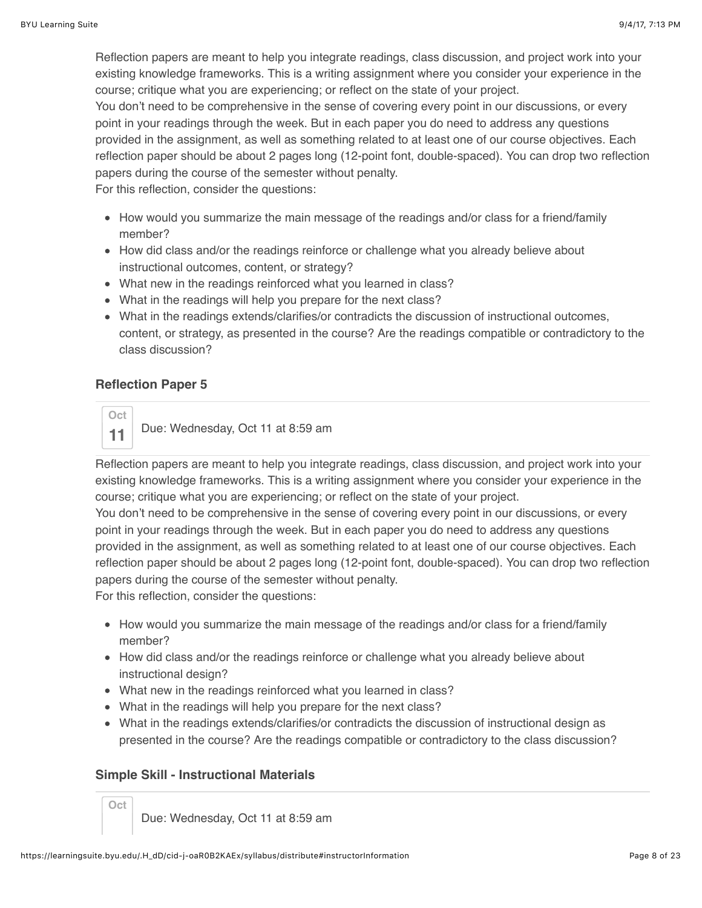Reflection papers are meant to help you integrate readings, class discussion, and project work into your existing knowledge frameworks. This is a writing assignment where you consider your experience in the course; critique what you are experiencing; or reflect on the state of your project. You don't need to be comprehensive in the sense of covering every point in our discussions, or every

point in your readings through the week. But in each paper you do need to address any questions provided in the assignment, as well as something related to at least one of our course objectives. Each reflection paper should be about 2 pages long (12-point font, double-spaced). You can drop two reflection papers during the course of the semester without penalty.

For this reflection, consider the questions:

- How would you summarize the main message of the readings and/or class for a friend/family member?
- How did class and/or the readings reinforce or challenge what you already believe about instructional outcomes, content, or strategy?
- What new in the readings reinforced what you learned in class?
- What in the readings will help you prepare for the next class?
- What in the readings extends/clarifies/or contradicts the discussion of instructional outcomes, content, or strategy, as presented in the course? Are the readings compatible or contradictory to the class discussion?

## **Reflection Paper 5**



**11** Due: Wednesday, Oct 11 at 8:59 am

Reflection papers are meant to help you integrate readings, class discussion, and project work into your existing knowledge frameworks. This is a writing assignment where you consider your experience in the course; critique what you are experiencing; or reflect on the state of your project.

You don't need to be comprehensive in the sense of covering every point in our discussions, or every point in your readings through the week. But in each paper you do need to address any questions provided in the assignment, as well as something related to at least one of our course objectives. Each reflection paper should be about 2 pages long (12-point font, double-spaced). You can drop two reflection papers during the course of the semester without penalty.

For this reflection, consider the questions:

- How would you summarize the main message of the readings and/or class for a friend/family member?
- How did class and/or the readings reinforce or challenge what you already believe about instructional design?
- What new in the readings reinforced what you learned in class?
- What in the readings will help you prepare for the next class?
- What in the readings extends/clarifies/or contradicts the discussion of instructional design as presented in the course? Are the readings compatible or contradictory to the class discussion?

## **Simple Skill - Instructional Materials**

**Oct**

Due: Wednesday, Oct 11 at 8:59 am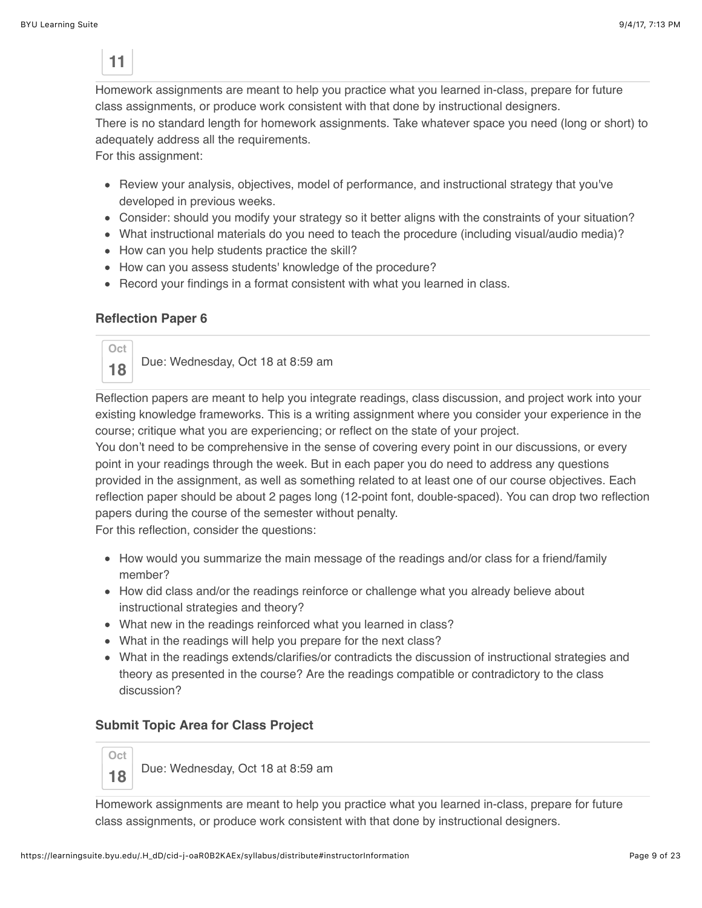**11**

Homework assignments are meant to help you practice what you learned in-class, prepare for future class assignments, or produce work consistent with that done by instructional designers. There is no standard length for homework assignments. Take whatever space you need (long or short) to adequately address all the requirements.

For this assignment:

- Review your analysis, objectives, model of performance, and instructional strategy that you've developed in previous weeks.
- Consider: should you modify your strategy so it better aligns with the constraints of your situation?
- What instructional materials do you need to teach the procedure (including visual/audio media)?
- How can you help students practice the skill?
- How can you assess students' knowledge of the procedure?
- Record your findings in a format consistent with what you learned in class.

#### **Reflection Paper 6**



Reflection papers are meant to help you integrate readings, class discussion, and project work into your existing knowledge frameworks. This is a writing assignment where you consider your experience in the course; critique what you are experiencing; or reflect on the state of your project.

You don't need to be comprehensive in the sense of covering every point in our discussions, or every point in your readings through the week. But in each paper you do need to address any questions provided in the assignment, as well as something related to at least one of our course objectives. Each reflection paper should be about 2 pages long (12-point font, double-spaced). You can drop two reflection papers during the course of the semester without penalty.

For this reflection, consider the questions:

- How would you summarize the main message of the readings and/or class for a friend/family member?
- How did class and/or the readings reinforce or challenge what you already believe about instructional strategies and theory?
- What new in the readings reinforced what you learned in class?
- What in the readings will help you prepare for the next class?
- What in the readings extends/clarifies/or contradicts the discussion of instructional strategies and theory as presented in the course? Are the readings compatible or contradictory to the class discussion?

#### **Submit Topic Area for Class Project**

**Oct 18** Due: Wednesday, Oct 18 at 8:59 am

Homework assignments are meant to help you practice what you learned in-class, prepare for future class assignments, or produce work consistent with that done by instructional designers.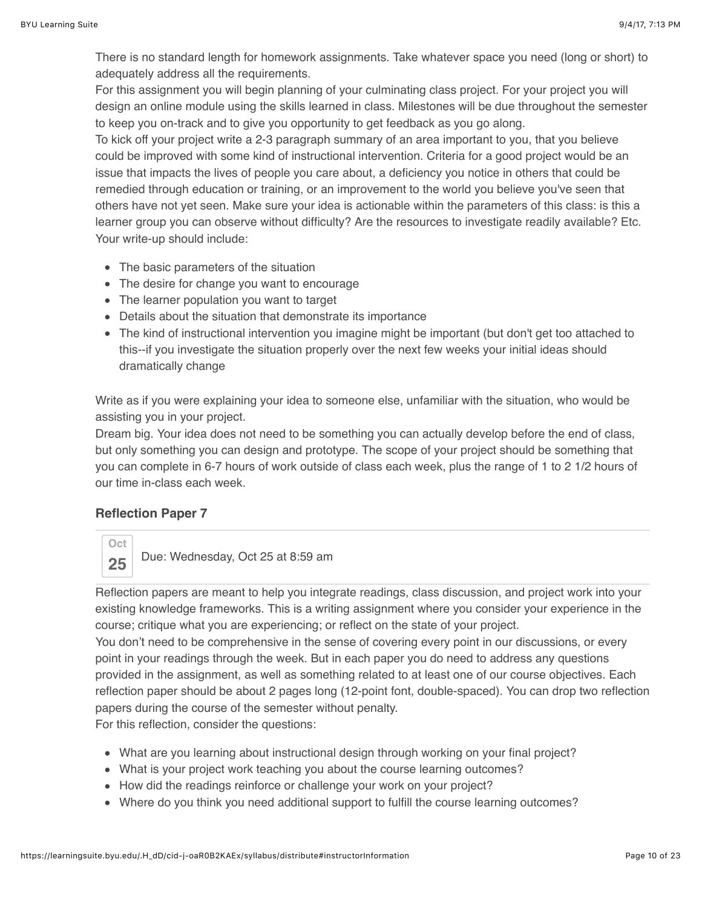There is no standard length for homework assignments. Take whatever space you need (long or short) to adequately address all the requirements.

For this assignment you will begin planning of your culminating class project. For your project you will design an online module using the skills learned in class. Milestones will be due throughout the semester to keep you on-track and to give you opportunity to get feedback as you go along.

To kick off your project write a 2-3 paragraph summary of an area important to you, that you believe could be improved with some kind of instructional intervention. Criteria for a good project would be an issue that impacts the lives of people you care about, a deficiency you notice in others that could be remedied through education or training, or an improvement to the world you believe you've seen that others have not yet seen. Make sure your idea is actionable within the parameters of this class: is this a learner group you can observe without difficulty? Are the resources to investigate readily available? Etc. Your write-up should include:

- The basic parameters of the situation
- The desire for change you want to encourage
- The learner population you want to target
- Details about the situation that demonstrate its importance
- The kind of instructional intervention you imagine might be important (but don't get too attached to this--if you investigate the situation properly over the next few weeks your initial ideas should dramatically change

Write as if you were explaining your idea to someone else, unfamiliar with the situation, who would be assisting you in your project.

Dream big. Your idea does not need to be something you can actually develop before the end of class, but only something you can design and prototype. The scope of your project should be something that you can complete in 6-7 hours of work outside of class each week, plus the range of 1 to 2 1/2 hours of our time in-class each week.

## **Reflection Paper 7**



**25** Due: Wednesday, Oct 25 at 8:59 am

Reflection papers are meant to help you integrate readings, class discussion, and project work into your existing knowledge frameworks. This is a writing assignment where you consider your experience in the course; critique what you are experiencing; or reflect on the state of your project.

You don't need to be comprehensive in the sense of covering every point in our discussions, or every point in your readings through the week. But in each paper you do need to address any questions provided in the assignment, as well as something related to at least one of our course objectives. Each reflection paper should be about 2 pages long (12-point font, double-spaced). You can drop two reflection papers during the course of the semester without penalty.

For this reflection, consider the questions:

- What are you learning about instructional design through working on your final project?
- What is your project work teaching you about the course learning outcomes?
- How did the readings reinforce or challenge your work on your project?
- Where do you think you need additional support to fulfill the course learning outcomes?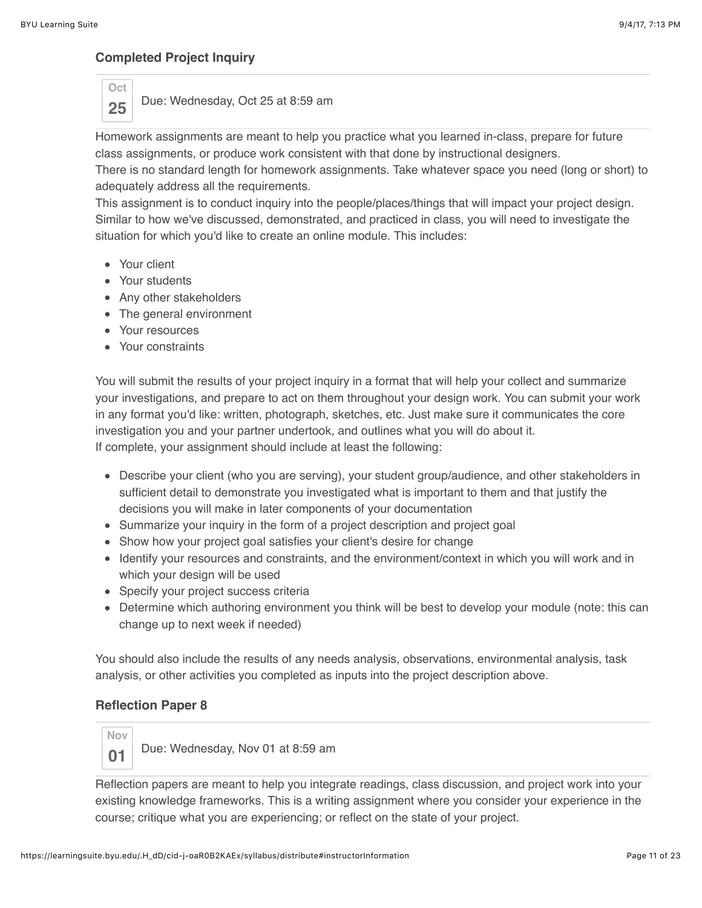### **Completed Project Inquiry**

**Oct**

**25** Due: Wednesday, Oct 25 at 8:59 am

Homework assignments are meant to help you practice what you learned in-class, prepare for future class assignments, or produce work consistent with that done by instructional designers.

There is no standard length for homework assignments. Take whatever space you need (long or short) to adequately address all the requirements.

This assignment is to conduct inquiry into the people/places/things that will impact your project design. Similar to how we've discussed, demonstrated, and practiced in class, you will need to investigate the situation for which you'd like to create an online module. This includes:

- Your client
- Your students
- Any other stakeholders
- The general environment
- Your resources
- Your constraints

You will submit the results of your project inquiry in a format that will help your collect and summarize your investigations, and prepare to act on them throughout your design work. You can submit your work in any format you'd like: written, photograph, sketches, etc. Just make sure it communicates the core investigation you and your partner undertook, and outlines what you will do about it. If complete, your assignment should include at least the following:

- Describe your client (who you are serving), your student group/audience, and other stakeholders in sufficient detail to demonstrate you investigated what is important to them and that justify the decisions you will make in later components of your documentation
- Summarize your inquiry in the form of a project description and project goal
- Show how your project goal satisfies your client's desire for change
- Identify your resources and constraints, and the environment/context in which you will work and in which your design will be used
- Specify your project success criteria
- Determine which authoring environment you think will be best to develop your module (note: this can change up to next week if needed)

You should also include the results of any needs analysis, observations, environmental analysis, task analysis, or other activities you completed as inputs into the project description above.

## **Reflection Paper 8**



**01** Due: Wednesday, Nov 01 at 8:59 am

Reflection papers are meant to help you integrate readings, class discussion, and project work into your existing knowledge frameworks. This is a writing assignment where you consider your experience in the course; critique what you are experiencing; or reflect on the state of your project.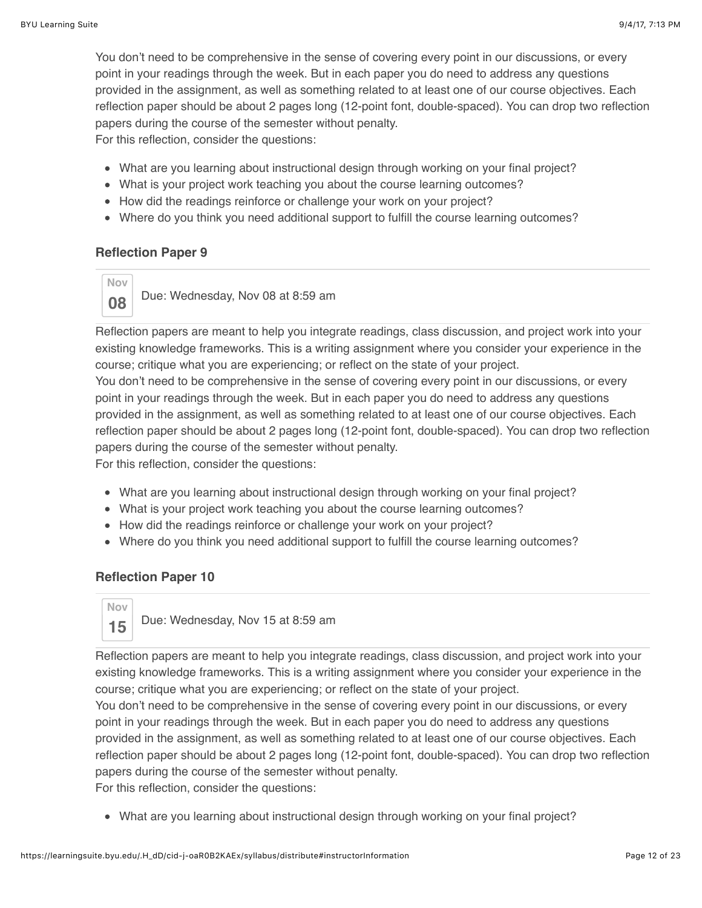You don't need to be comprehensive in the sense of covering every point in our discussions, or every point in your readings through the week. But in each paper you do need to address any questions provided in the assignment, as well as something related to at least one of our course objectives. Each reflection paper should be about 2 pages long (12-point font, double-spaced). You can drop two reflection papers during the course of the semester without penalty.

For this reflection, consider the questions:

- What are you learning about instructional design through working on your final project?
- What is your project work teaching you about the course learning outcomes?
- How did the readings reinforce or challenge your work on your project?
- Where do you think you need additional support to fulfill the course learning outcomes?

### **Reflection Paper 9**

**Nov 08** Due: Wednesday, Nov 08 at 8:59 am

Reflection papers are meant to help you integrate readings, class discussion, and project work into your existing knowledge frameworks. This is a writing assignment where you consider your experience in the course; critique what you are experiencing; or reflect on the state of your project.

You don't need to be comprehensive in the sense of covering every point in our discussions, or every point in your readings through the week. But in each paper you do need to address any questions provided in the assignment, as well as something related to at least one of our course objectives. Each reflection paper should be about 2 pages long (12-point font, double-spaced). You can drop two reflection papers during the course of the semester without penalty.

For this reflection, consider the questions:

- What are you learning about instructional design through working on your final project?
- What is your project work teaching you about the course learning outcomes?
- How did the readings reinforce or challenge your work on your project?
- Where do you think you need additional support to fulfill the course learning outcomes?

## **Reflection Paper 10**



Reflection papers are meant to help you integrate readings, class discussion, and project work into your existing knowledge frameworks. This is a writing assignment where you consider your experience in the course; critique what you are experiencing; or reflect on the state of your project.

You don't need to be comprehensive in the sense of covering every point in our discussions, or every point in your readings through the week. But in each paper you do need to address any questions provided in the assignment, as well as something related to at least one of our course objectives. Each reflection paper should be about 2 pages long (12-point font, double-spaced). You can drop two reflection papers during the course of the semester without penalty.

For this reflection, consider the questions:

What are you learning about instructional design through working on your final project?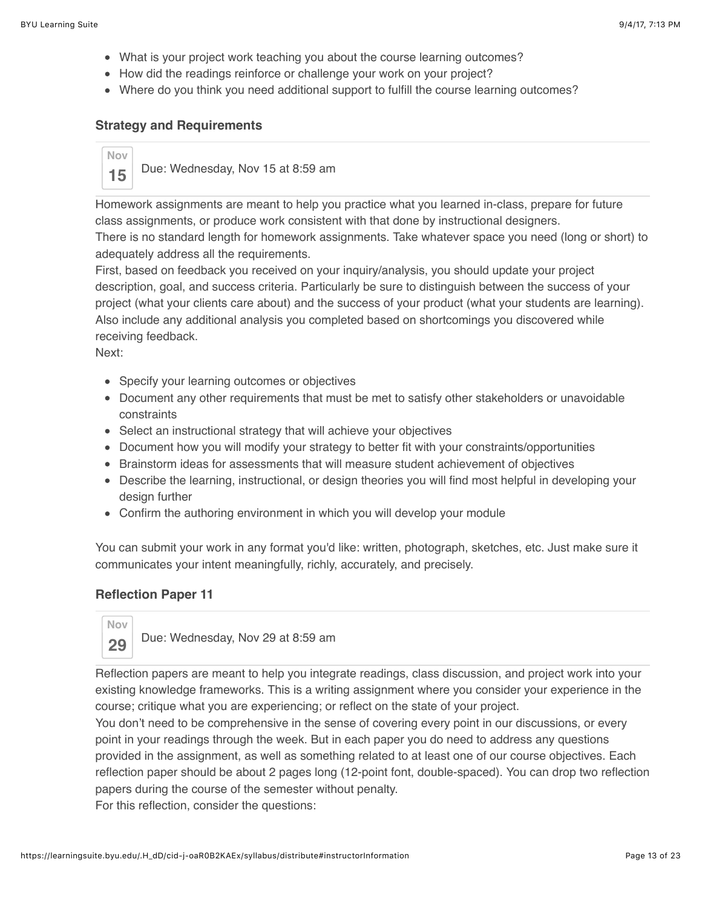- What is your project work teaching you about the course learning outcomes?
- How did the readings reinforce or challenge your work on your project?
- Where do you think you need additional support to fulfill the course learning outcomes?

#### **Strategy and Requirements**

## **Nov 15** Due: Wednesday, Nov 15 at 8:59 am

Homework assignments are meant to help you practice what you learned in-class, prepare for future class assignments, or produce work consistent with that done by instructional designers. There is no standard length for homework assignments. Take whatever space you need (long or short) to adequately address all the requirements.

First, based on feedback you received on your inquiry/analysis, you should update your project description, goal, and success criteria. Particularly be sure to distinguish between the success of your project (what your clients care about) and the success of your product (what your students are learning). Also include any additional analysis you completed based on shortcomings you discovered while receiving feedback.

Next:

- Specify your learning outcomes or objectives
- Document any other requirements that must be met to satisfy other stakeholders or unavoidable constraints
- Select an instructional strategy that will achieve your objectives
- Document how you will modify your strategy to better fit with your constraints/opportunities
- Brainstorm ideas for assessments that will measure student achievement of objectives
- Describe the learning, instructional, or design theories you will find most helpful in developing your design further
- Confirm the authoring environment in which you will develop your module

You can submit your work in any format you'd like: written, photograph, sketches, etc. Just make sure it communicates your intent meaningfully, richly, accurately, and precisely.

#### **Reflection Paper 11**



29 Due: Wednesday, Nov 29 at 8:59 am

Reflection papers are meant to help you integrate readings, class discussion, and project work into your existing knowledge frameworks. This is a writing assignment where you consider your experience in the course; critique what you are experiencing; or reflect on the state of your project.

You don't need to be comprehensive in the sense of covering every point in our discussions, or every point in your readings through the week. But in each paper you do need to address any questions provided in the assignment, as well as something related to at least one of our course objectives. Each reflection paper should be about 2 pages long (12-point font, double-spaced). You can drop two reflection papers during the course of the semester without penalty.

For this reflection, consider the questions: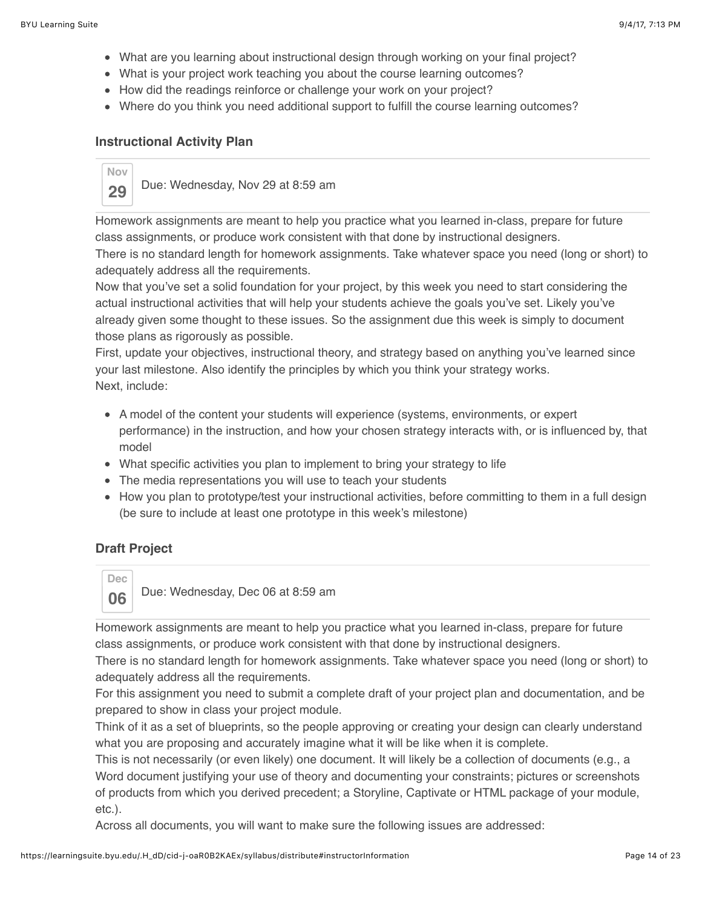- What are you learning about instructional design through working on your final project?
- What is your project work teaching you about the course learning outcomes?
- How did the readings reinforce or challenge your work on your project?
- Where do you think you need additional support to fulfill the course learning outcomes?

#### **Instructional Activity Plan**



Homework assignments are meant to help you practice what you learned in-class, prepare for future class assignments, or produce work consistent with that done by instructional designers.

There is no standard length for homework assignments. Take whatever space you need (long or short) to adequately address all the requirements.

Now that you've set a solid foundation for your project, by this week you need to start considering the actual instructional activities that will help your students achieve the goals you've set. Likely you've already given some thought to these issues. So the assignment due this week is simply to document those plans as rigorously as possible.

First, update your objectives, instructional theory, and strategy based on anything you've learned since your last milestone. Also identify the principles by which you think your strategy works. Next, include:

- A model of the content your students will experience (systems, environments, or expert performance) in the instruction, and how your chosen strategy interacts with, or is influenced by, that model
- What specific activities you plan to implement to bring your strategy to life
- The media representations you will use to teach your students
- How you plan to prototype/test your instructional activities, before committing to them in a full design (be sure to include at least one prototype in this week's milestone)

## **Draft Project**



**06** Due: Wednesday, Dec 06 at 8:59 am

Homework assignments are meant to help you practice what you learned in-class, prepare for future class assignments, or produce work consistent with that done by instructional designers.

There is no standard length for homework assignments. Take whatever space you need (long or short) to adequately address all the requirements.

For this assignment you need to submit a complete draft of your project plan and documentation, and be prepared to show in class your project module.

Think of it as a set of blueprints, so the people approving or creating your design can clearly understand what you are proposing and accurately imagine what it will be like when it is complete.

This is not necessarily (or even likely) one document. It will likely be a collection of documents (e.g., a Word document justifying your use of theory and documenting your constraints; pictures or screenshots of products from which you derived precedent; a Storyline, Captivate or HTML package of your module, etc.).

Across all documents, you will want to make sure the following issues are addressed: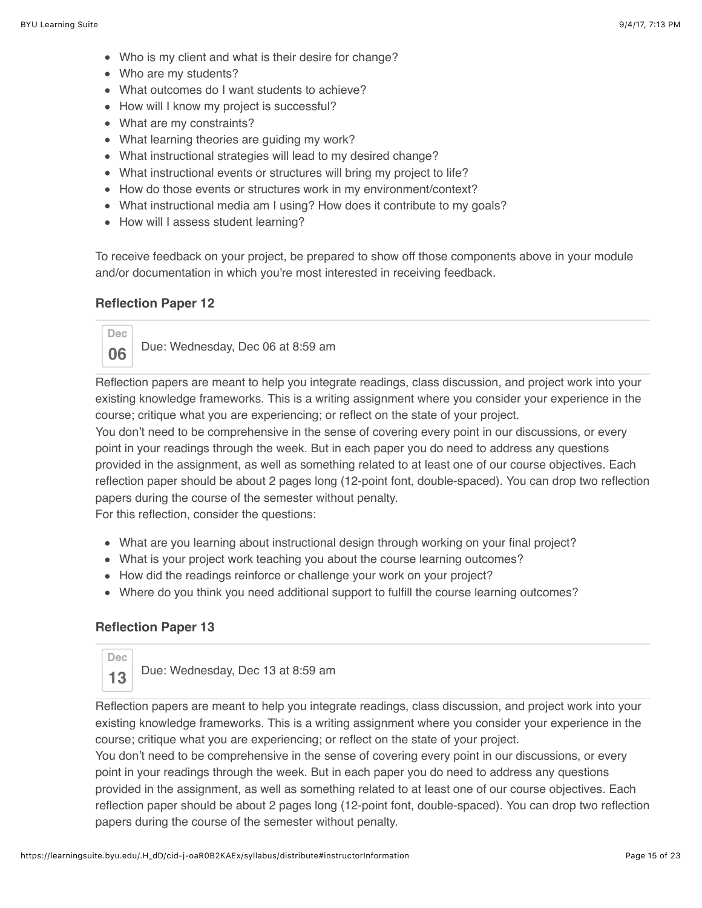- Who is my client and what is their desire for change?
- Who are my students?
- What outcomes do I want students to achieve?
- How will I know my project is successful?
- What are my constraints?
- What learning theories are guiding my work?
- What instructional strategies will lead to my desired change?
- What instructional events or structures will bring my project to life?
- How do those events or structures work in my environment/context?
- What instructional media am I using? How does it contribute to my goals?
- How will I assess student learning?

To receive feedback on your project, be prepared to show off those components above in your module and/or documentation in which you're most interested in receiving feedback.

#### **Reflection Paper 12**



**06** Due: Wednesday, Dec 06 at 8:59 am

Reflection papers are meant to help you integrate readings, class discussion, and project work into your existing knowledge frameworks. This is a writing assignment where you consider your experience in the course; critique what you are experiencing; or reflect on the state of your project.

You don't need to be comprehensive in the sense of covering every point in our discussions, or every point in your readings through the week. But in each paper you do need to address any questions provided in the assignment, as well as something related to at least one of our course objectives. Each reflection paper should be about 2 pages long (12-point font, double-spaced). You can drop two reflection papers during the course of the semester without penalty.

For this reflection, consider the questions:

- What are you learning about instructional design through working on your final project?
- What is your project work teaching you about the course learning outcomes?
- How did the readings reinforce or challenge your work on your project?
- Where do you think you need additional support to fulfill the course learning outcomes?

#### **Reflection Paper 13**

**Dec**

**13** Due: Wednesday, Dec 13 at 8:59 am

Reflection papers are meant to help you integrate readings, class discussion, and project work into your existing knowledge frameworks. This is a writing assignment where you consider your experience in the course; critique what you are experiencing; or reflect on the state of your project.

You don't need to be comprehensive in the sense of covering every point in our discussions, or every point in your readings through the week. But in each paper you do need to address any questions provided in the assignment, as well as something related to at least one of our course objectives. Each reflection paper should be about 2 pages long (12-point font, double-spaced). You can drop two reflection papers during the course of the semester without penalty.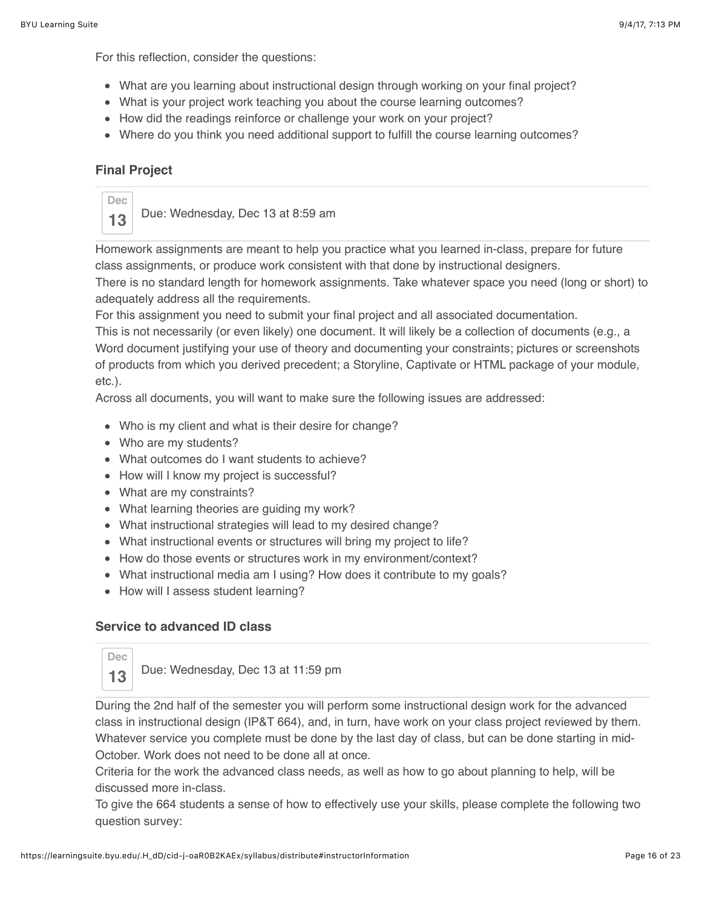For this reflection, consider the questions:

- What are you learning about instructional design through working on your final project?
- What is your project work teaching you about the course learning outcomes?
- How did the readings reinforce or challenge your work on your project?
- Where do you think you need additional support to fulfill the course learning outcomes?

### **Final Project**



**13** Due: Wednesday, Dec 13 at 8:59 am

Homework assignments are meant to help you practice what you learned in-class, prepare for future class assignments, or produce work consistent with that done by instructional designers.

There is no standard length for homework assignments. Take whatever space you need (long or short) to adequately address all the requirements.

For this assignment you need to submit your final project and all associated documentation.

This is not necessarily (or even likely) one document. It will likely be a collection of documents (e.g., a Word document justifying your use of theory and documenting your constraints; pictures or screenshots of products from which you derived precedent; a Storyline, Captivate or HTML package of your module, etc.).

Across all documents, you will want to make sure the following issues are addressed:

- Who is my client and what is their desire for change?
- Who are my students?
- What outcomes do I want students to achieve?
- How will I know my project is successful?
- What are my constraints?
- What learning theories are guiding my work?
- What instructional strategies will lead to my desired change?
- What instructional events or structures will bring my project to life?
- How do those events or structures work in my environment/context?
- What instructional media am I using? How does it contribute to my goals?
- How will I assess student learning?

#### **Service to advanced ID class**

**Dec**

**13** Due: Wednesday, Dec 13 at 11:59 pm

During the 2nd half of the semester you will perform some instructional design work for the advanced class in instructional design (IP&T 664), and, in turn, have work on your class project reviewed by them. Whatever service you complete must be done by the last day of class, but can be done starting in mid-October. Work does not need to be done all at once.

Criteria for the work the advanced class needs, as well as how to go about planning to help, will be discussed more in-class.

To give the 664 students a sense of how to effectively use your skills, please complete the following two question survey: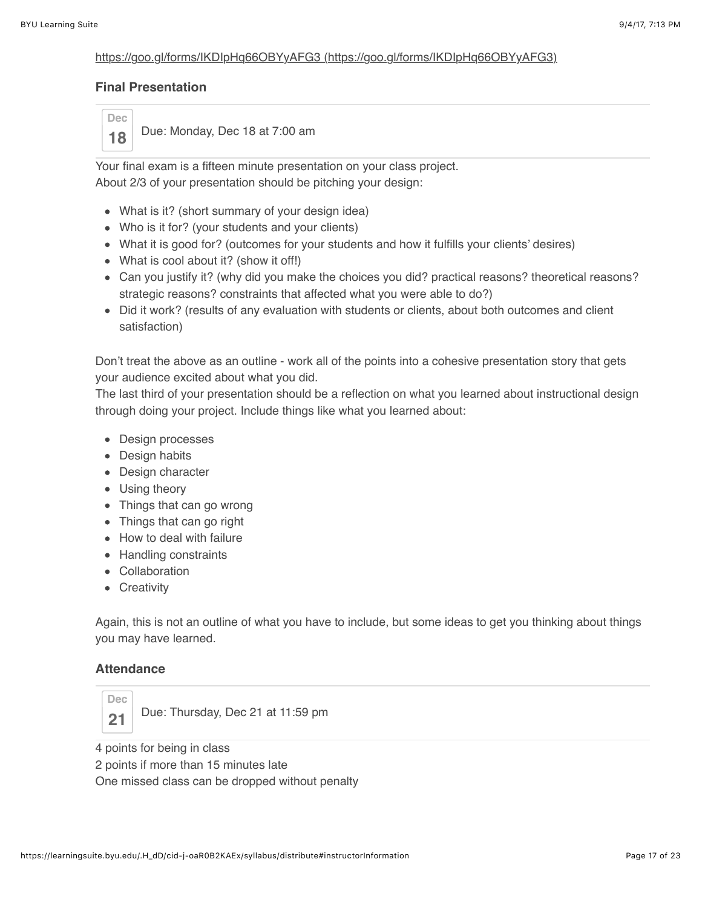#### [https://goo.gl/forms/IKDIpHq66OBYyAFG3 \(https://goo.gl/forms/IKDIpHq66OBYyAFG3\)](https://goo.gl/forms/IKDIpHq66OBYyAFG3)

#### **Final Presentation**

**Dec**

18 | Due: Monday, Dec 18 at 7:00 am

Your final exam is a fifteen minute presentation on your class project. About 2/3 of your presentation should be pitching your design:

- What is it? (short summary of your design idea)
- Who is it for? (your students and your clients)
- What it is good for? (outcomes for your students and how it fulfills your clients' desires)
- What is cool about it? (show it off!)
- Can you justify it? (why did you make the choices you did? practical reasons? theoretical reasons? strategic reasons? constraints that affected what you were able to do?)
- Did it work? (results of any evaluation with students or clients, about both outcomes and client satisfaction)

Don't treat the above as an outline - work all of the points into a cohesive presentation story that gets your audience excited about what you did.

The last third of your presentation should be a reflection on what you learned about instructional design through doing your project. Include things like what you learned about:

- Design processes
- Design habits
- Design character
- Using theory
- Things that can go wrong
- Things that can go right
- How to deal with failure
- Handling constraints
- Collaboration
- Creativity

Again, this is not an outline of what you have to include, but some ideas to get you thinking about things you may have learned.

#### **Attendance**



21 Due: Thursday, Dec 21 at 11:59 pm

4 points for being in class

2 points if more than 15 minutes late

One missed class can be dropped without penalty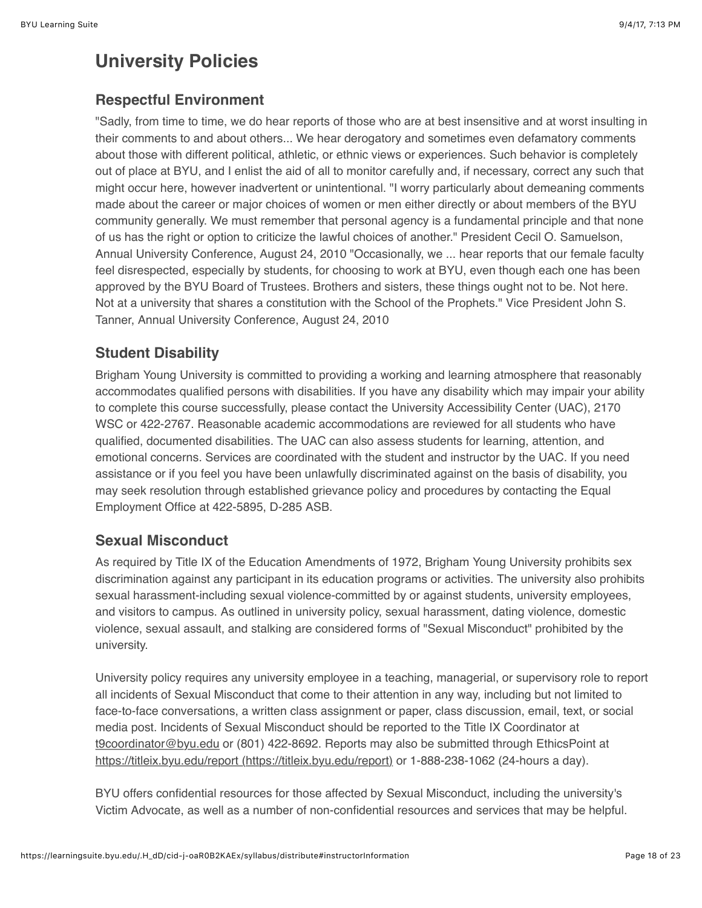# **University Policies**

## **Respectful Environment**

"Sadly, from time to time, we do hear reports of those who are at best insensitive and at worst insulting in their comments to and about others... We hear derogatory and sometimes even defamatory comments about those with different political, athletic, or ethnic views or experiences. Such behavior is completely out of place at BYU, and I enlist the aid of all to monitor carefully and, if necessary, correct any such that might occur here, however inadvertent or unintentional. "I worry particularly about demeaning comments made about the career or major choices of women or men either directly or about members of the BYU community generally. We must remember that personal agency is a fundamental principle and that none of us has the right or option to criticize the lawful choices of another." President Cecil O. Samuelson, Annual University Conference, August 24, 2010 "Occasionally, we ... hear reports that our female faculty feel disrespected, especially by students, for choosing to work at BYU, even though each one has been approved by the BYU Board of Trustees. Brothers and sisters, these things ought not to be. Not here. Not at a university that shares a constitution with the School of the Prophets." Vice President John S. Tanner, Annual University Conference, August 24, 2010

# **Student Disability**

Brigham Young University is committed to providing a working and learning atmosphere that reasonably accommodates qualified persons with disabilities. If you have any disability which may impair your ability to complete this course successfully, please contact the University Accessibility Center (UAC), 2170 WSC or 422-2767. Reasonable academic accommodations are reviewed for all students who have qualified, documented disabilities. The UAC can also assess students for learning, attention, and emotional concerns. Services are coordinated with the student and instructor by the UAC. If you need assistance or if you feel you have been unlawfully discriminated against on the basis of disability, you may seek resolution through established grievance policy and procedures by contacting the Equal Employment Office at 422-5895, D-285 ASB.

# **Sexual Misconduct**

As required by Title IX of the Education Amendments of 1972, Brigham Young University prohibits sex discrimination against any participant in its education programs or activities. The university also prohibits sexual harassment-including sexual violence-committed by or against students, university employees, and visitors to campus. As outlined in university policy, sexual harassment, dating violence, domestic violence, sexual assault, and stalking are considered forms of "Sexual Misconduct" prohibited by the university.

University policy requires any university employee in a teaching, managerial, or supervisory role to report all incidents of Sexual Misconduct that come to their attention in any way, including but not limited to face-to-face conversations, a written class assignment or paper, class discussion, email, text, or social media post. Incidents of Sexual Misconduct should be reported to the Title IX Coordinator at [t9coordinator@byu.edu](mailto:t9coordinator@byu.edu) or (801) 422-8692. Reports may also be submitted through EthicsPoint at [https://titleix.byu.edu/report \(https://titleix.byu.edu/report\)](https://titleix.byu.edu/report) or 1-888-238-1062 (24-hours a day).

BYU offers confidential resources for those affected by Sexual Misconduct, including the university's Victim Advocate, as well as a number of non-confidential resources and services that may be helpful.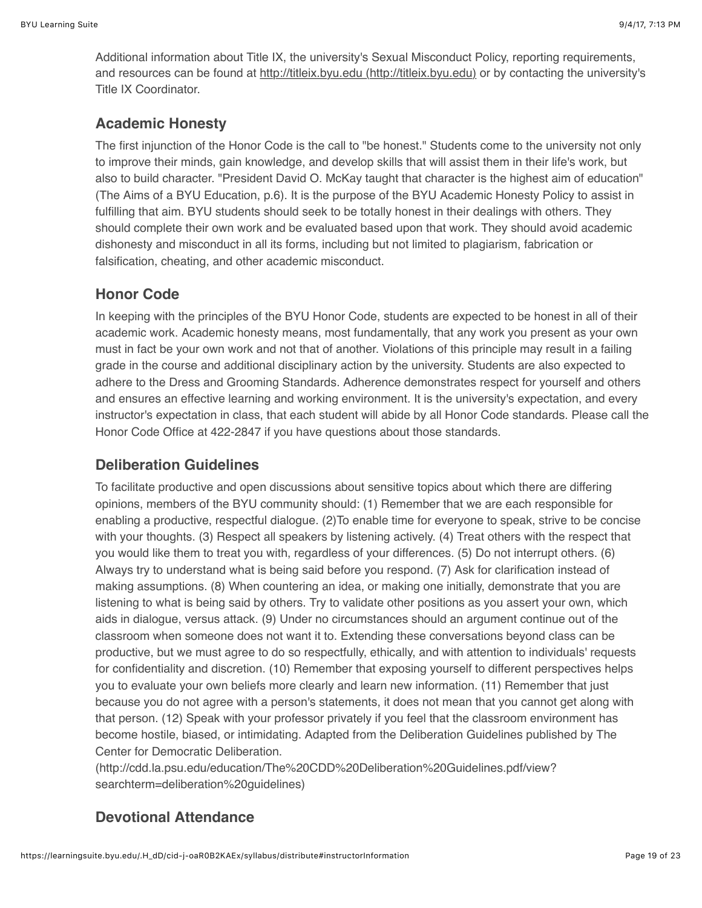Additional information about Title IX, the university's Sexual Misconduct Policy, reporting requirements, and resources can be found at [http://titleix.byu.edu \(http://titleix.byu.edu\)](http://titleix.byu.edu/) or by contacting the university's Title IX Coordinator.

## **Academic Honesty**

The first injunction of the Honor Code is the call to "be honest." Students come to the university not only to improve their minds, gain knowledge, and develop skills that will assist them in their life's work, but also to build character. "President David O. McKay taught that character is the highest aim of education" (The Aims of a BYU Education, p.6). It is the purpose of the BYU Academic Honesty Policy to assist in fulfilling that aim. BYU students should seek to be totally honest in their dealings with others. They should complete their own work and be evaluated based upon that work. They should avoid academic dishonesty and misconduct in all its forms, including but not limited to plagiarism, fabrication or falsification, cheating, and other academic misconduct.

## **Honor Code**

In keeping with the principles of the BYU Honor Code, students are expected to be honest in all of their academic work. Academic honesty means, most fundamentally, that any work you present as your own must in fact be your own work and not that of another. Violations of this principle may result in a failing grade in the course and additional disciplinary action by the university. Students are also expected to adhere to the Dress and Grooming Standards. Adherence demonstrates respect for yourself and others and ensures an effective learning and working environment. It is the university's expectation, and every instructor's expectation in class, that each student will abide by all Honor Code standards. Please call the Honor Code Office at 422-2847 if you have questions about those standards.

# **Deliberation Guidelines**

To facilitate productive and open discussions about sensitive topics about which there are differing opinions, members of the BYU community should: (1) Remember that we are each responsible for enabling a productive, respectful dialogue. (2)To enable time for everyone to speak, strive to be concise with your thoughts. (3) Respect all speakers by listening actively. (4) Treat others with the respect that you would like them to treat you with, regardless of your differences. (5) Do not interrupt others. (6) Always try to understand what is being said before you respond. (7) Ask for clarification instead of making assumptions. (8) When countering an idea, or making one initially, demonstrate that you are listening to what is being said by others. Try to validate other positions as you assert your own, which aids in dialogue, versus attack. (9) Under no circumstances should an argument continue out of the classroom when someone does not want it to. Extending these conversations beyond class can be productive, but we must agree to do so respectfully, ethically, and with attention to individuals' requests for confidentiality and discretion. (10) Remember that exposing yourself to different perspectives helps you to evaluate your own beliefs more clearly and learn new information. (11) Remember that just because you do not agree with a person's statements, it does not mean that you cannot get along with that person. (12) Speak with your professor privately if you feel that the classroom environment has become hostile, biased, or intimidating. Adapted from the Deliberation Guidelines published by The Center for Democratic Deliberation.

(http://cdd.la.psu.edu/education/The%20CDD%20Deliberation%20Guidelines.pdf/view? searchterm=deliberation%20guidelines)

# **Devotional Attendance**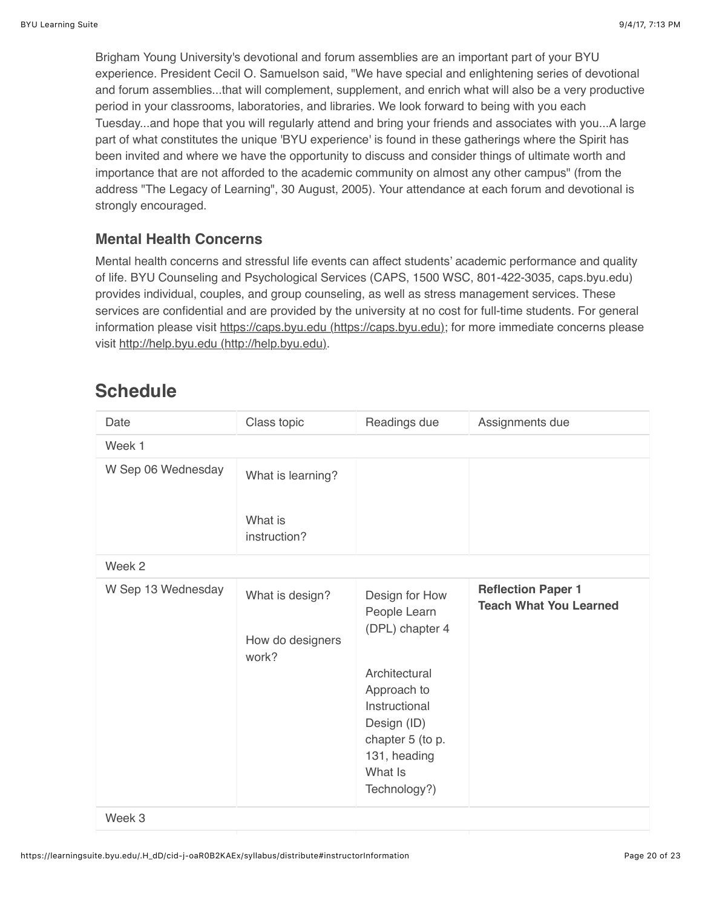Brigham Young University's devotional and forum assemblies are an important part of your BYU experience. President Cecil O. Samuelson said, "We have special and enlightening series of devotional and forum assemblies...that will complement, supplement, and enrich what will also be a very productive period in your classrooms, laboratories, and libraries. We look forward to being with you each Tuesday...and hope that you will regularly attend and bring your friends and associates with you...A large part of what constitutes the unique 'BYU experience' is found in these gatherings where the Spirit has been invited and where we have the opportunity to discuss and consider things of ultimate worth and importance that are not afforded to the academic community on almost any other campus" (from the address "The Legacy of Learning", 30 August, 2005). Your attendance at each forum and devotional is strongly encouraged.

## **Mental Health Concerns**

Mental health concerns and stressful life events can affect students' academic performance and quality of life. BYU Counseling and Psychological Services (CAPS, 1500 WSC, 801-422-3035, caps.byu.edu) provides individual, couples, and group counseling, as well as stress management services. These services are confidential and are provided by the university at no cost for full-time students. For general information please visit [https://caps.byu.edu \(https://caps.byu.edu\);](https://caps.byu.edu/) for more immediate concerns please visit [http://help.byu.edu \(http://help.byu.edu\)](http://help.byu.edu/).

# **Schedule**

| Date               | Class topic                                  | Readings due                                                                                                                                                                     | Assignments due                                            |
|--------------------|----------------------------------------------|----------------------------------------------------------------------------------------------------------------------------------------------------------------------------------|------------------------------------------------------------|
| Week 1             |                                              |                                                                                                                                                                                  |                                                            |
| W Sep 06 Wednesday | What is learning?<br>What is<br>instruction? |                                                                                                                                                                                  |                                                            |
| Week 2             |                                              |                                                                                                                                                                                  |                                                            |
| W Sep 13 Wednesday | What is design?<br>How do designers<br>work? | Design for How<br>People Learn<br>(DPL) chapter 4<br>Architectural<br>Approach to<br>Instructional<br>Design (ID)<br>chapter 5 (to p.<br>131, heading<br>What Is<br>Technology?) | <b>Reflection Paper 1</b><br><b>Teach What You Learned</b> |

Week 3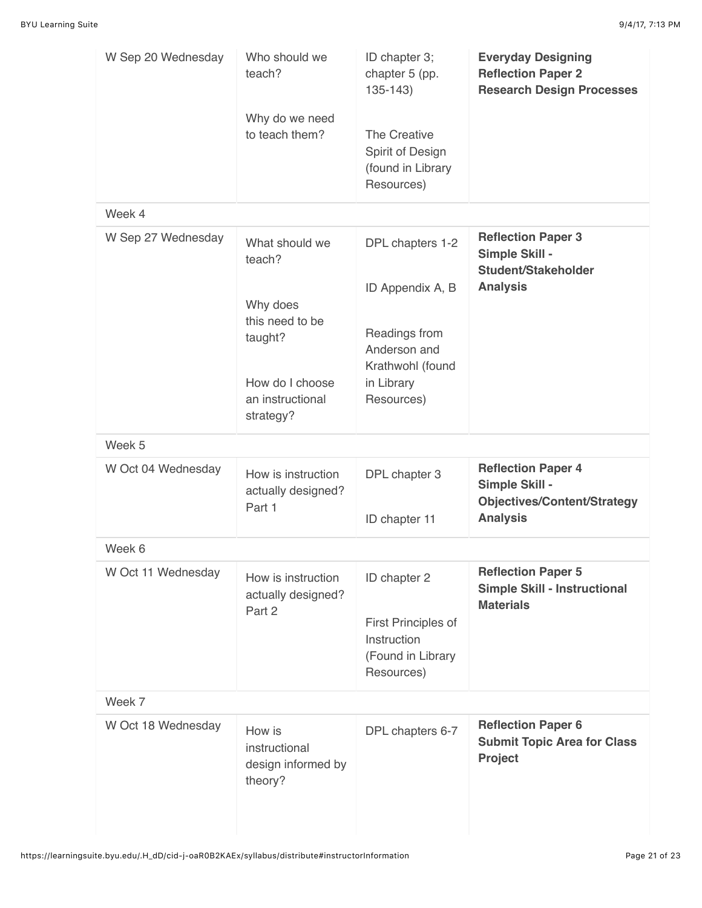| W Sep 20 Wednesday | Who should we<br>teach?<br>Why do we need<br>to teach them?                                                            | ID chapter 3;<br>chapter 5 (pp.<br>$135 - 143$<br>The Creative<br>Spirit of Design<br>(found in Library<br>Resources) | <b>Everyday Designing</b><br><b>Reflection Paper 2</b><br><b>Research Design Processes</b>           |
|--------------------|------------------------------------------------------------------------------------------------------------------------|-----------------------------------------------------------------------------------------------------------------------|------------------------------------------------------------------------------------------------------|
| Week 4             |                                                                                                                        |                                                                                                                       |                                                                                                      |
| W Sep 27 Wednesday | What should we<br>teach?<br>Why does<br>this need to be<br>taught?<br>How do I choose<br>an instructional<br>strategy? | DPL chapters 1-2<br>ID Appendix A, B<br>Readings from<br>Anderson and<br>Krathwohl (found<br>in Library<br>Resources) | <b>Reflection Paper 3</b><br>Simple Skill -<br>Student/Stakeholder<br><b>Analysis</b>                |
| Week 5             |                                                                                                                        |                                                                                                                       |                                                                                                      |
| W Oct 04 Wednesday | How is instruction<br>actually designed?<br>Part 1                                                                     | DPL chapter 3<br>ID chapter 11                                                                                        | <b>Reflection Paper 4</b><br>Simple Skill -<br><b>Objectives/Content/Strategy</b><br><b>Analysis</b> |
| Week 6             |                                                                                                                        |                                                                                                                       |                                                                                                      |
| W Oct 11 Wednesday | How is instruction<br>actually designed?<br>Part 2                                                                     | ID chapter 2<br>First Principles of<br>Instruction<br>(Found in Library<br>Resources)                                 | <b>Reflection Paper 5</b><br><b>Simple Skill - Instructional</b><br><b>Materials</b>                 |
| Week 7             |                                                                                                                        |                                                                                                                       |                                                                                                      |
| W Oct 18 Wednesday | How is<br>instructional<br>design informed by<br>theory?                                                               | DPL chapters 6-7                                                                                                      | <b>Reflection Paper 6</b><br><b>Submit Topic Area for Class</b><br>Project                           |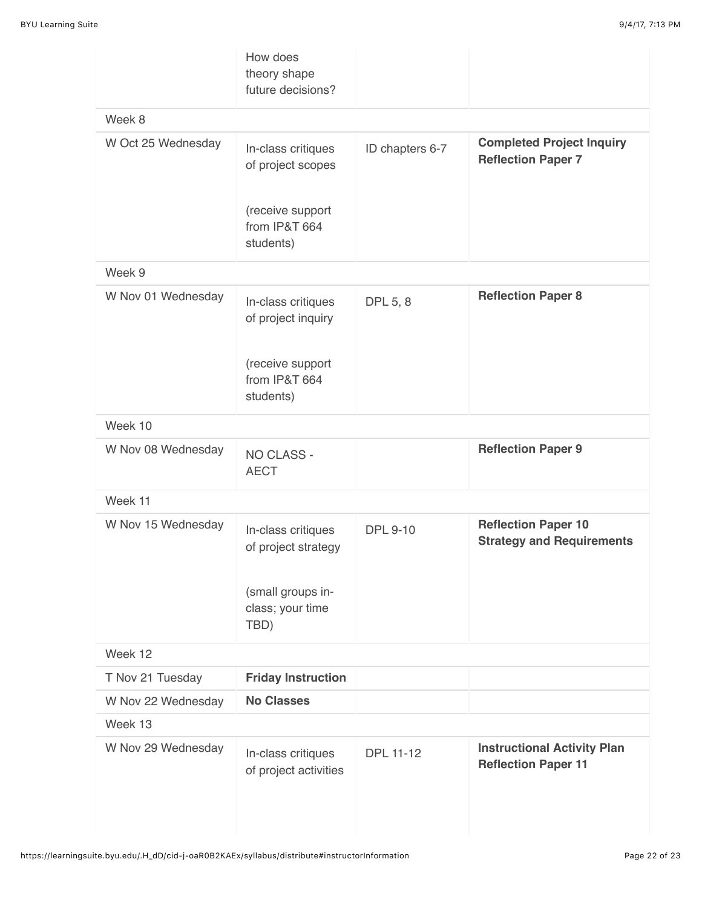|                    | How does<br>theory shape<br>future decisions?  |                  |                                                                  |  |
|--------------------|------------------------------------------------|------------------|------------------------------------------------------------------|--|
| Week 8             |                                                |                  |                                                                  |  |
| W Oct 25 Wednesday | In-class critiques<br>of project scopes        | ID chapters 6-7  | <b>Completed Project Inquiry</b><br><b>Reflection Paper 7</b>    |  |
|                    | (receive support<br>from IP&T 664<br>students) |                  |                                                                  |  |
| Week 9             |                                                |                  |                                                                  |  |
| W Nov 01 Wednesday | In-class critiques<br>of project inquiry       | DPL 5, 8         | <b>Reflection Paper 8</b>                                        |  |
|                    | (receive support<br>from IP&T 664<br>students) |                  |                                                                  |  |
| Week 10            |                                                |                  |                                                                  |  |
| W Nov 08 Wednesday | NO CLASS -<br><b>AECT</b>                      |                  | <b>Reflection Paper 9</b>                                        |  |
| Week 11            |                                                |                  |                                                                  |  |
| W Nov 15 Wednesday | In-class critiques<br>of project strategy      | <b>DPL 9-10</b>  | <b>Reflection Paper 10</b><br><b>Strategy and Requirements</b>   |  |
|                    | (small groups in-<br>class; your time<br>TBD)  |                  |                                                                  |  |
| Week 12            |                                                |                  |                                                                  |  |
| T Nov 21 Tuesday   | <b>Friday Instruction</b>                      |                  |                                                                  |  |
| W Nov 22 Wednesday | <b>No Classes</b>                              |                  |                                                                  |  |
| Week 13            |                                                |                  |                                                                  |  |
| W Nov 29 Wednesday | In-class critiques<br>of project activities    | <b>DPL 11-12</b> | <b>Instructional Activity Plan</b><br><b>Reflection Paper 11</b> |  |